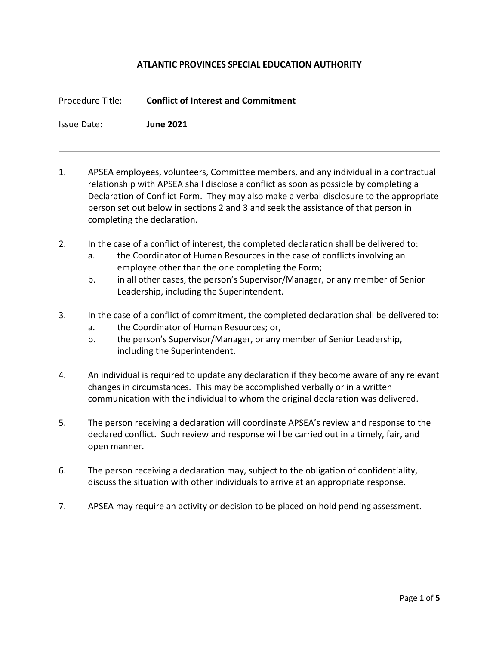# **ATLANTIC PROVINCES SPECIAL EDUCATION AUTHORITY**

| Procedure Title: | <b>Conflict of Interest and Commitment</b> |
|------------------|--------------------------------------------|
| Issue Date:      | <b>June 2021</b>                           |

- 1. APSEA employees, volunteers, Committee members, and any individual in a contractual relationship with APSEA shall disclose a conflict as soon as possible by completing a Declaration of Conflict Form. They may also make a verbal disclosure to the appropriate person set out below in sections 2 and 3 and seek the assistance of that person in completing the declaration.
- 2. In the case of a conflict of interest, the completed declaration shall be delivered to:
	- a. the Coordinator of Human Resources in the case of conflicts involving an employee other than the one completing the Form;
	- b. in all other cases, the person's Supervisor/Manager, or any member of Senior Leadership, including the Superintendent.
- 3. In the case of a conflict of commitment, the completed declaration shall be delivered to:
	- a. the Coordinator of Human Resources; or,
	- b. the person's Supervisor/Manager, or any member of Senior Leadership, including the Superintendent.
- 4. An individual is required to update any declaration if they become aware of any relevant changes in circumstances. This may be accomplished verbally or in a written communication with the individual to whom the original declaration was delivered.
- 5. The person receiving a declaration will coordinate APSEA's review and response to the declared conflict. Such review and response will be carried out in a timely, fair, and open manner.
- 6. The person receiving a declaration may, subject to the obligation of confidentiality, discuss the situation with other individuals to arrive at an appropriate response.
- 7. APSEA may require an activity or decision to be placed on hold pending assessment.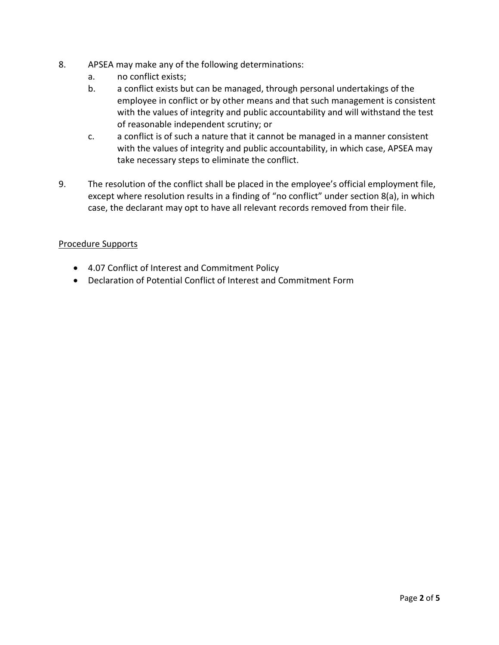- 8. APSEA may make any of the following determinations:
	- a. no conflict exists;
	- b. a conflict exists but can be managed, through personal undertakings of the employee in conflict or by other means and that such management is consistent with the values of integrity and public accountability and will withstand the test of reasonable independent scrutiny; or
	- c. a conflict is of such a nature that it cannot be managed in a manner consistent with the values of integrity and public accountability, in which case, APSEA may take necessary steps to eliminate the conflict.
- 9. The resolution of the conflict shall be placed in the employee's official employment file, except where resolution results in a finding of "no conflict" under section 8(a), in which case, the declarant may opt to have all relevant records removed from their file.

#### Procedure Supports

- 4.07 Conflict of Interest and Commitment Policy
- Declaration of Potential Conflict of Interest and Commitment Form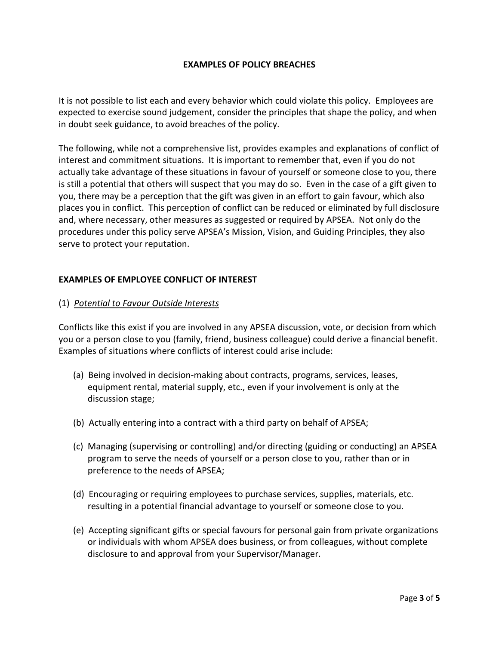# **EXAMPLES OF POLICY BREACHES**

It is not possible to list each and every behavior which could violate this policy. Employees are expected to exercise sound judgement, consider the principles that shape the policy, and when in doubt seek guidance, to avoid breaches of the policy.

The following, while not a comprehensive list, provides examples and explanations of conflict of interest and commitment situations. It is important to remember that, even if you do not actually take advantage of these situations in favour of yourself or someone close to you, there is still a potential that others will suspect that you may do so. Even in the case of a gift given to you, there may be a perception that the gift was given in an effort to gain favour, which also places you in conflict. This perception of conflict can be reduced or eliminated by full disclosure and, where necessary, other measures as suggested or required by APSEA. Not only do the procedures under this policy serve APSEA's Mission, Vision, and Guiding Principles, they also serve to protect your reputation.

# **EXAMPLES OF EMPLOYEE CONFLICT OF INTEREST**

#### (1) *Potential to Favour Outside Interests*

Conflicts like this exist if you are involved in any APSEA discussion, vote, or decision from which you or a person close to you (family, friend, business colleague) could derive a financial benefit. Examples of situations where conflicts of interest could arise include:

- (a) Being involved in decision-making about contracts, programs, services, leases, equipment rental, material supply, etc., even if your involvement is only at the discussion stage;
- (b) Actually entering into a contract with a third party on behalf of APSEA;
- (c) Managing (supervising or controlling) and/or directing (guiding or conducting) an APSEA program to serve the needs of yourself or a person close to you, rather than or in preference to the needs of APSEA;
- (d) Encouraging or requiring employees to purchase services, supplies, materials, etc. resulting in a potential financial advantage to yourself or someone close to you.
- (e) Accepting significant gifts or special favours for personal gain from private organizations or individuals with whom APSEA does business, or from colleagues, without complete disclosure to and approval from your Supervisor/Manager.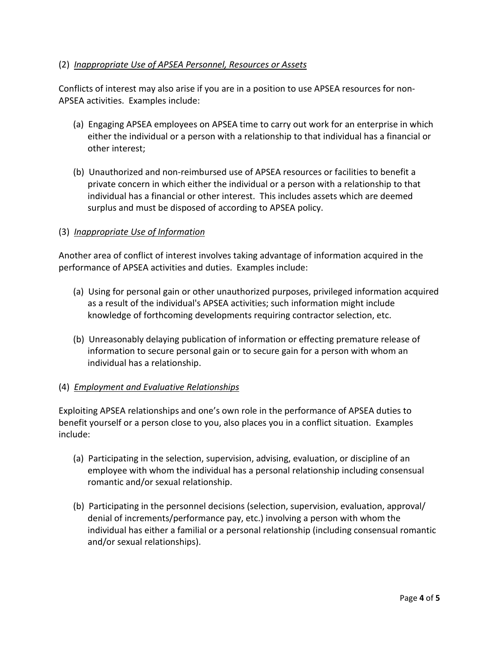# (2) *Inappropriate Use of APSEA Personnel, Resources or Assets*

Conflicts of interest may also arise if you are in a position to use APSEA resources for non-APSEA activities. Examples include:

- (a) Engaging APSEA employees on APSEA time to carry out work for an enterprise in which either the individual or a person with a relationship to that individual has a financial or other interest;
- (b) Unauthorized and non-reimbursed use of APSEA resources or facilities to benefit a private concern in which either the individual or a person with a relationship to that individual has a financial or other interest. This includes assets which are deemed surplus and must be disposed of according to APSEA policy.

#### (3) *Inappropriate Use of Information*

Another area of conflict of interest involves taking advantage of information acquired in the performance of APSEA activities and duties. Examples include:

- (a) Using for personal gain or other unauthorized purposes, privileged information acquired as a result of the individual's APSEA activities; such information might include knowledge of forthcoming developments requiring contractor selection, etc.
- (b) Unreasonably delaying publication of information or effecting premature release of information to secure personal gain or to secure gain for a person with whom an individual has a relationship.

#### (4) *Employment and Evaluative Relationships*

Exploiting APSEA relationships and one's own role in the performance of APSEA duties to benefit yourself or a person close to you, also places you in a conflict situation. Examples include:

- (a) Participating in the selection, supervision, advising, evaluation, or discipline of an employee with whom the individual has a personal relationship including consensual romantic and/or sexual relationship.
- (b) Participating in the personnel decisions (selection, supervision, evaluation, approval/ denial of increments/performance pay, etc.) involving a person with whom the individual has either a familial or a personal relationship (including consensual romantic and/or sexual relationships).